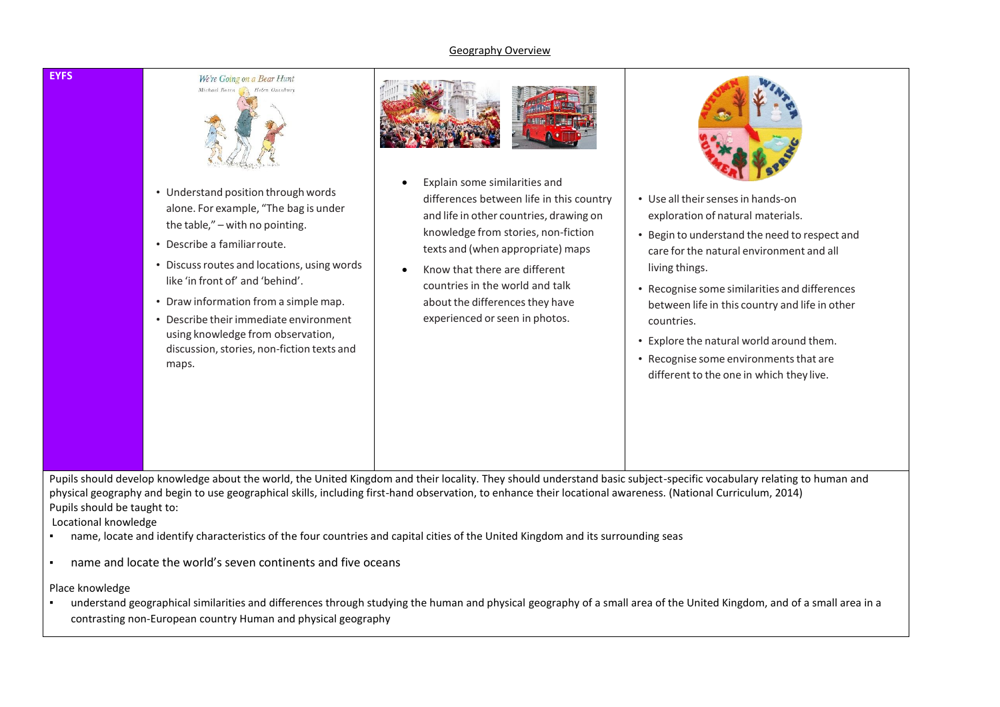### Geography Overview





- Understand position through words alone. For example, "The bag is under the table," – with no pointing.
- Describe a familiarroute.
- Discussroutes and locations, using words like 'in front of' and 'behind'.
- Draw information from a simple map.
- Describe their immediate environment using knowledge from observation, discussion, stories, non-fiction texts and maps.



- Explain some similarities and differences between life in this country and life in other countries, drawing on knowledge from stories, non-fiction texts and (when appropriate) maps
- Know that there are different countries in the world and talk about the differences they have experienced or seen in photos.



- Use all their senses in hands-on exploration of natural materials.
- Begin to understand the need to respect and care forthe natural environment and all living things.
- Recognise some similarities and differences between life in this country and life in other countries.
- Explore the natural world around them.
- Recognise some environments that are different to the one in which they live.

Pupils should develop knowledge about the world, the United Kingdom and their locality. They should understand basic subject-specific vocabulary relating to human and physical geography and begin to use geographical skills, including first-hand observation, to enhance their locational awareness. (National Curriculum, 2014) Pupils should be taught to:

Locational knowledge

- name, locate and identify characteristics of the four countries and capital cities of the United Kingdom and its surrounding seas
- name and locate the world's seven continents and five oceans

Place knowledge

▪ understand geographical similarities and differences through studying the human and physical geography of a small area of the United Kingdom, and of a small area in a contrasting non-European country Human and physical geography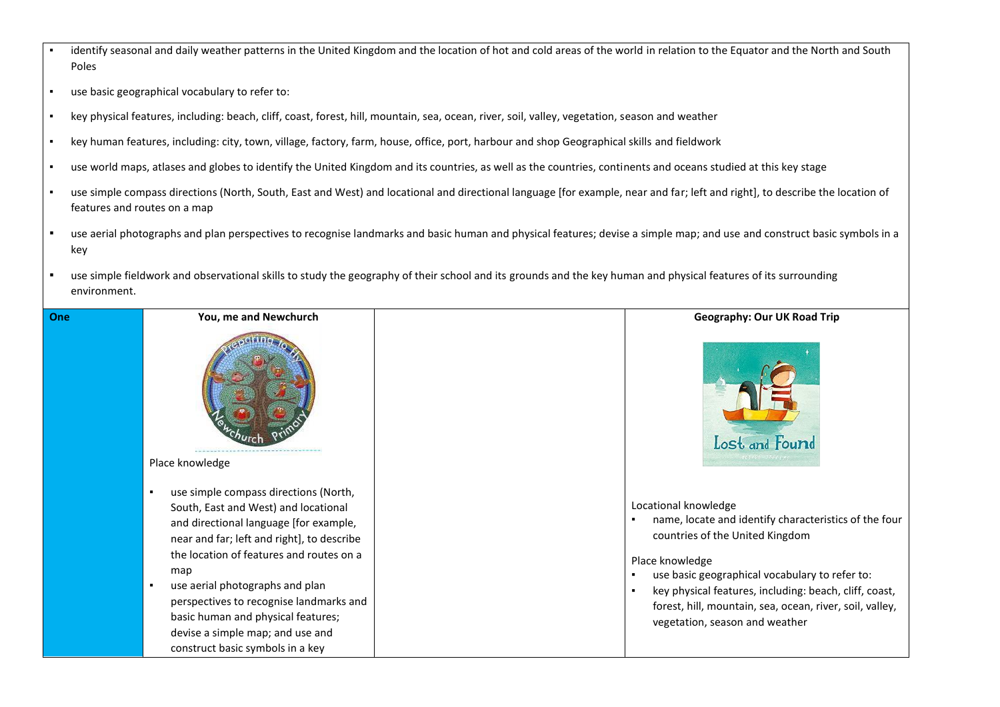- identify seasonal and daily weather patterns in the United Kingdom and the location of hot and cold areas of the world in relation to the Equator and the North and South Poles
- use basic geographical vocabulary to refer to:
- key physical features, including: beach, cliff, coast, forest, hill, mountain, sea, ocean, river, soil, valley, vegetation, season and weather
- key human features, including: city, town, village, factory, farm, house, office, port, harbour and shop Geographical skills and fieldwork
- use world maps, atlases and globes to identify the United Kingdom and its countries, as well as the countries, continents and oceans studied at this key stage
- use simple compass directions (North, South, East and West) and locational and directional language [for example, near and far; left and right], to describe the location of features and routes on a map
- use aerial photographs and plan perspectives to recognise landmarks and basic human and physical features; devise a simple map; and use and construct basic symbols in a key
- use simple fieldwork and observational skills to study the geography of their school and its grounds and the key human and physical features of its surrounding environment.

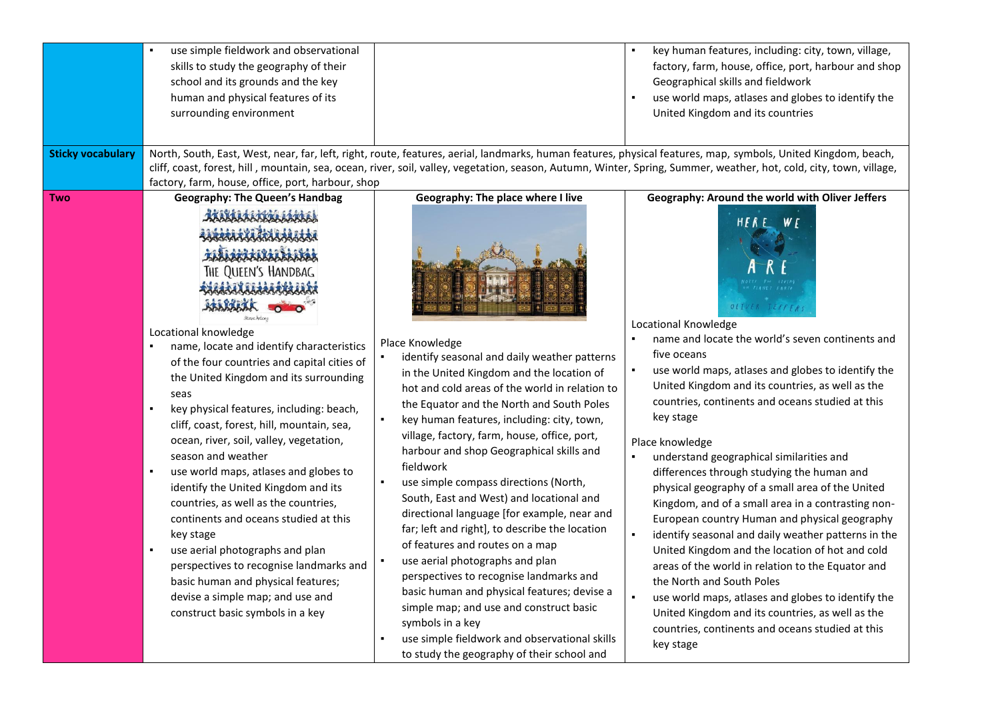| <b>Sticky vocabulary</b> | use simple fieldwork and observational<br>skills to study the geography of their<br>school and its grounds and the key<br>human and physical features of its<br>surrounding environment<br>factory, farm, house, office, port, harbour, shop                                                                                                                                                                                                                                                                                                                                                                                                                                                                                                                                                                                                                              |                                                                                                                                                                                                                                                                                                                                                                                                                                                                                                                                                                                                                                                                                                                                                                                                                                                                                                                             | key human features, including: city, town, village,<br>factory, farm, house, office, port, harbour and shop<br>Geographical skills and fieldwork<br>use world maps, atlases and globes to identify the<br>United Kingdom and its countries<br>North, South, East, West, near, far, left, right, route, features, aerial, landmarks, human features, physical features, map, symbols, United Kingdom, beach,<br>cliff, coast, forest, hill, mountain, sea, ocean, river, soil, valley, vegetation, season, Autumn, Winter, Spring, Summer, weather, hot, cold, city, town, village,                                                                                                                                                                                                                                                                                                                                                                                                                              |
|--------------------------|---------------------------------------------------------------------------------------------------------------------------------------------------------------------------------------------------------------------------------------------------------------------------------------------------------------------------------------------------------------------------------------------------------------------------------------------------------------------------------------------------------------------------------------------------------------------------------------------------------------------------------------------------------------------------------------------------------------------------------------------------------------------------------------------------------------------------------------------------------------------------|-----------------------------------------------------------------------------------------------------------------------------------------------------------------------------------------------------------------------------------------------------------------------------------------------------------------------------------------------------------------------------------------------------------------------------------------------------------------------------------------------------------------------------------------------------------------------------------------------------------------------------------------------------------------------------------------------------------------------------------------------------------------------------------------------------------------------------------------------------------------------------------------------------------------------------|-----------------------------------------------------------------------------------------------------------------------------------------------------------------------------------------------------------------------------------------------------------------------------------------------------------------------------------------------------------------------------------------------------------------------------------------------------------------------------------------------------------------------------------------------------------------------------------------------------------------------------------------------------------------------------------------------------------------------------------------------------------------------------------------------------------------------------------------------------------------------------------------------------------------------------------------------------------------------------------------------------------------|
| <b>Two</b>               | <b>Geography: The Queen's Handbag</b><br>thunists<br>Lacaracada<br><b>ENLINGENATIONS</b><br>THE QUEEN'S HANDBAG<br><b>ANNANNANNANNAN</b><br>ABARARAK<br>Locational knowledge<br>name, locate and identify characteristics<br>of the four countries and capital cities of<br>the United Kingdom and its surrounding<br>seas<br>key physical features, including: beach,<br>٠<br>cliff, coast, forest, hill, mountain, sea,<br>ocean, river, soil, valley, vegetation,<br>season and weather<br>use world maps, atlases and globes to<br>٠<br>identify the United Kingdom and its<br>countries, as well as the countries,<br>continents and oceans studied at this<br>key stage<br>use aerial photographs and plan<br>perspectives to recognise landmarks and<br>basic human and physical features;<br>devise a simple map; and use and<br>construct basic symbols in a key | Geography: The place where I live<br>Place Knowledge<br>identify seasonal and daily weather patterns<br>in the United Kingdom and the location of<br>hot and cold areas of the world in relation to<br>the Equator and the North and South Poles<br>key human features, including: city, town,<br>village, factory, farm, house, office, port,<br>harbour and shop Geographical skills and<br>fieldwork<br>use simple compass directions (North,<br>South, East and West) and locational and<br>directional language [for example, near and<br>far; left and right], to describe the location<br>of features and routes on a map<br>use aerial photographs and plan<br>perspectives to recognise landmarks and<br>basic human and physical features; devise a<br>simple map; and use and construct basic<br>symbols in a key<br>use simple fieldwork and observational skills<br>to study the geography of their school and | Geography: Around the world with Oliver Jeffers<br>WF<br>$H$ $F$ $R$ $E$<br>OLIVER TEFFFRS<br>Locational Knowledge<br>name and locate the world's seven continents and<br>five oceans<br>use world maps, atlases and globes to identify the<br>United Kingdom and its countries, as well as the<br>countries, continents and oceans studied at this<br>key stage<br>Place knowledge<br>understand geographical similarities and<br>differences through studying the human and<br>physical geography of a small area of the United<br>Kingdom, and of a small area in a contrasting non-<br>European country Human and physical geography<br>identify seasonal and daily weather patterns in the<br>United Kingdom and the location of hot and cold<br>areas of the world in relation to the Equator and<br>the North and South Poles<br>use world maps, atlases and globes to identify the<br>United Kingdom and its countries, as well as the<br>countries, continents and oceans studied at this<br>key stage |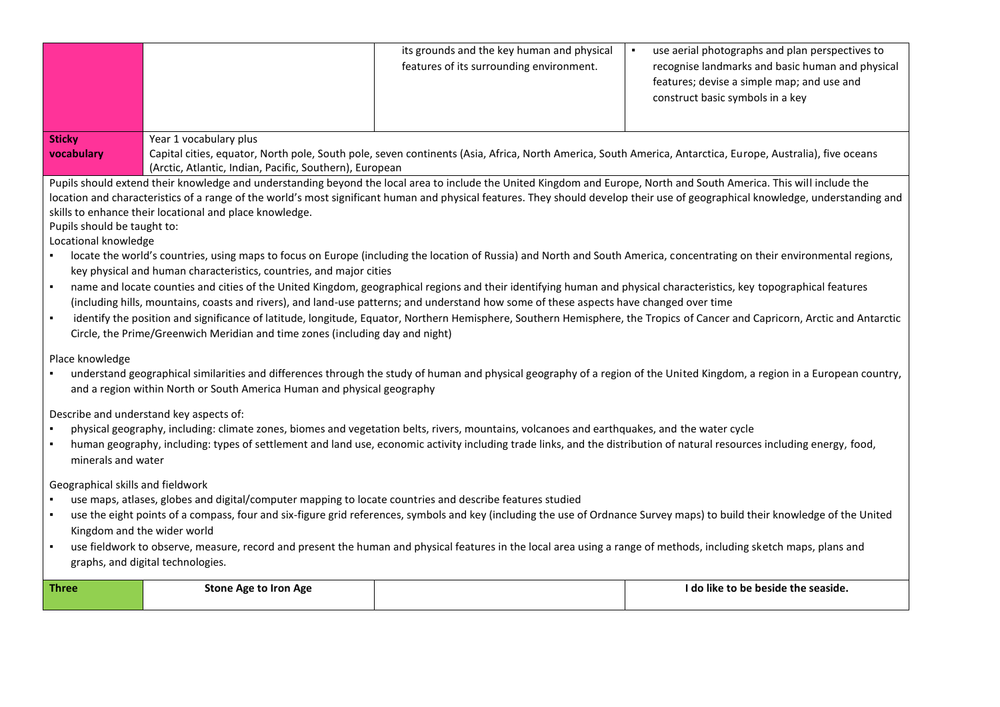|                                                                                                                                                                                                                                                                                                                                                                                                                                                                                                                                                                                                                                                                                                                                                                                                                                                                                                                                                                                                                                                                                                                                                                                                                                                                                                                                          |                                                                                                                                                                                                                                                 | its grounds and the key human and physical<br>features of its surrounding environment.                                                       | use aerial photographs and plan perspectives to<br>$\blacksquare$<br>recognise landmarks and basic human and physical<br>features; devise a simple map; and use and<br>construct basic symbols in a key |
|------------------------------------------------------------------------------------------------------------------------------------------------------------------------------------------------------------------------------------------------------------------------------------------------------------------------------------------------------------------------------------------------------------------------------------------------------------------------------------------------------------------------------------------------------------------------------------------------------------------------------------------------------------------------------------------------------------------------------------------------------------------------------------------------------------------------------------------------------------------------------------------------------------------------------------------------------------------------------------------------------------------------------------------------------------------------------------------------------------------------------------------------------------------------------------------------------------------------------------------------------------------------------------------------------------------------------------------|-------------------------------------------------------------------------------------------------------------------------------------------------------------------------------------------------------------------------------------------------|----------------------------------------------------------------------------------------------------------------------------------------------|---------------------------------------------------------------------------------------------------------------------------------------------------------------------------------------------------------|
| <b>Sticky</b><br>vocabulary                                                                                                                                                                                                                                                                                                                                                                                                                                                                                                                                                                                                                                                                                                                                                                                                                                                                                                                                                                                                                                                                                                                                                                                                                                                                                                              | Year 1 vocabulary plus<br>Capital cities, equator, North pole, South pole, seven continents (Asia, Africa, North America, South America, Antarctica, Europe, Australia), five oceans<br>(Arctic, Atlantic, Indian, Pacific, Southern), European |                                                                                                                                              |                                                                                                                                                                                                         |
| Pupils should extend their knowledge and understanding beyond the local area to include the United Kingdom and Europe, North and South America. This will include the<br>location and characteristics of a range of the world's most significant human and physical features. They should develop their use of geographical knowledge, understanding and<br>skills to enhance their locational and place knowledge.<br>Pupils should be taught to:<br>Locational knowledge<br>locate the world's countries, using maps to focus on Europe (including the location of Russia) and North and South America, concentrating on their environmental regions,<br>key physical and human characteristics, countries, and major cities<br>name and locate counties and cities of the United Kingdom, geographical regions and their identifying human and physical characteristics, key topographical features<br>٠<br>(including hills, mountains, coasts and rivers), and land-use patterns; and understand how some of these aspects have changed over time<br>identify the position and significance of latitude, longitude, Equator, Northern Hemisphere, Southern Hemisphere, the Tropics of Cancer and Capricorn, Arctic and Antarctic<br>$\blacksquare$<br>Circle, the Prime/Greenwich Meridian and time zones (including day and night) |                                                                                                                                                                                                                                                 |                                                                                                                                              |                                                                                                                                                                                                         |
| Place knowledge                                                                                                                                                                                                                                                                                                                                                                                                                                                                                                                                                                                                                                                                                                                                                                                                                                                                                                                                                                                                                                                                                                                                                                                                                                                                                                                          | and a region within North or South America Human and physical geography                                                                                                                                                                         |                                                                                                                                              | understand geographical similarities and differences through the study of human and physical geography of a region of the United Kingdom, a region in a European country,                               |
| minerals and water                                                                                                                                                                                                                                                                                                                                                                                                                                                                                                                                                                                                                                                                                                                                                                                                                                                                                                                                                                                                                                                                                                                                                                                                                                                                                                                       | Describe and understand key aspects of:                                                                                                                                                                                                         | physical geography, including: climate zones, biomes and vegetation belts, rivers, mountains, volcanoes and earthquakes, and the water cycle | human geography, including: types of settlement and land use, economic activity including trade links, and the distribution of natural resources including energy, food,                                |
| Geographical skills and fieldwork<br>use maps, atlases, globes and digital/computer mapping to locate countries and describe features studied<br>use the eight points of a compass, four and six-figure grid references, symbols and key (including the use of Ordnance Survey maps) to build their knowledge of the United<br>Kingdom and the wider world<br>use fieldwork to observe, measure, record and present the human and physical features in the local area using a range of methods, including sketch maps, plans and<br>$\blacksquare$<br>graphs, and digital technologies.                                                                                                                                                                                                                                                                                                                                                                                                                                                                                                                                                                                                                                                                                                                                                  |                                                                                                                                                                                                                                                 |                                                                                                                                              |                                                                                                                                                                                                         |
| <b>Three</b>                                                                                                                                                                                                                                                                                                                                                                                                                                                                                                                                                                                                                                                                                                                                                                                                                                                                                                                                                                                                                                                                                                                                                                                                                                                                                                                             | <b>Stone Age to Iron Age</b>                                                                                                                                                                                                                    |                                                                                                                                              | I do like to be beside the seaside.                                                                                                                                                                     |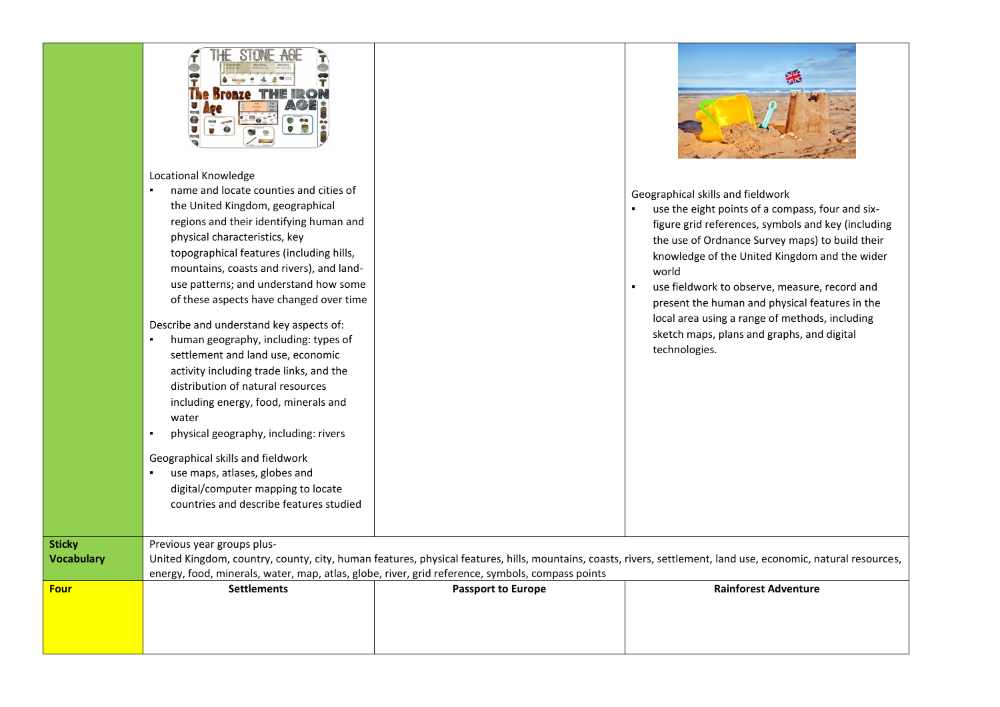| <b>Four</b>       | <b>Settlements</b>                                                                                                                                                                                                                                                                                                                                                                                                                                                                                                                                                                                                                                                                                                                                                                                                                                      | <b>Passport to Europe</b>                                                                        | <b>Rainforest Adventure</b>                                                                                                                                                                                                                                                                                                                                                                                                                                                  |
|-------------------|---------------------------------------------------------------------------------------------------------------------------------------------------------------------------------------------------------------------------------------------------------------------------------------------------------------------------------------------------------------------------------------------------------------------------------------------------------------------------------------------------------------------------------------------------------------------------------------------------------------------------------------------------------------------------------------------------------------------------------------------------------------------------------------------------------------------------------------------------------|--------------------------------------------------------------------------------------------------|------------------------------------------------------------------------------------------------------------------------------------------------------------------------------------------------------------------------------------------------------------------------------------------------------------------------------------------------------------------------------------------------------------------------------------------------------------------------------|
| <b>Vocabulary</b> |                                                                                                                                                                                                                                                                                                                                                                                                                                                                                                                                                                                                                                                                                                                                                                                                                                                         | energy, food, minerals, water, map, atlas, globe, river, grid reference, symbols, compass points | United Kingdom, country, county, city, human features, physical features, hills, mountains, coasts, rivers, settlement, land use, economic, natural resources,                                                                                                                                                                                                                                                                                                               |
| <b>Sticky</b>     | Previous year groups plus-                                                                                                                                                                                                                                                                                                                                                                                                                                                                                                                                                                                                                                                                                                                                                                                                                              |                                                                                                  |                                                                                                                                                                                                                                                                                                                                                                                                                                                                              |
|                   | Locational Knowledge<br>name and locate counties and cities of<br>$\blacksquare$<br>the United Kingdom, geographical<br>regions and their identifying human and<br>physical characteristics, key<br>topographical features (including hills,<br>mountains, coasts and rivers), and land-<br>use patterns; and understand how some<br>of these aspects have changed over time<br>Describe and understand key aspects of:<br>human geography, including: types of<br>settlement and land use, economic<br>activity including trade links, and the<br>distribution of natural resources<br>including energy, food, minerals and<br>water<br>physical geography, including: rivers<br>$\blacksquare$<br>Geographical skills and fieldwork<br>use maps, atlases, globes and<br>digital/computer mapping to locate<br>countries and describe features studied |                                                                                                  | Geographical skills and fieldwork<br>use the eight points of a compass, four and six-<br>figure grid references, symbols and key (including<br>the use of Ordnance Survey maps) to build their<br>knowledge of the United Kingdom and the wider<br>world<br>use fieldwork to observe, measure, record and<br>present the human and physical features in the<br>local area using a range of methods, including<br>sketch maps, plans and graphs, and digital<br>technologies. |
|                   | Kranto                                                                                                                                                                                                                                                                                                                                                                                                                                                                                                                                                                                                                                                                                                                                                                                                                                                  |                                                                                                  |                                                                                                                                                                                                                                                                                                                                                                                                                                                                              |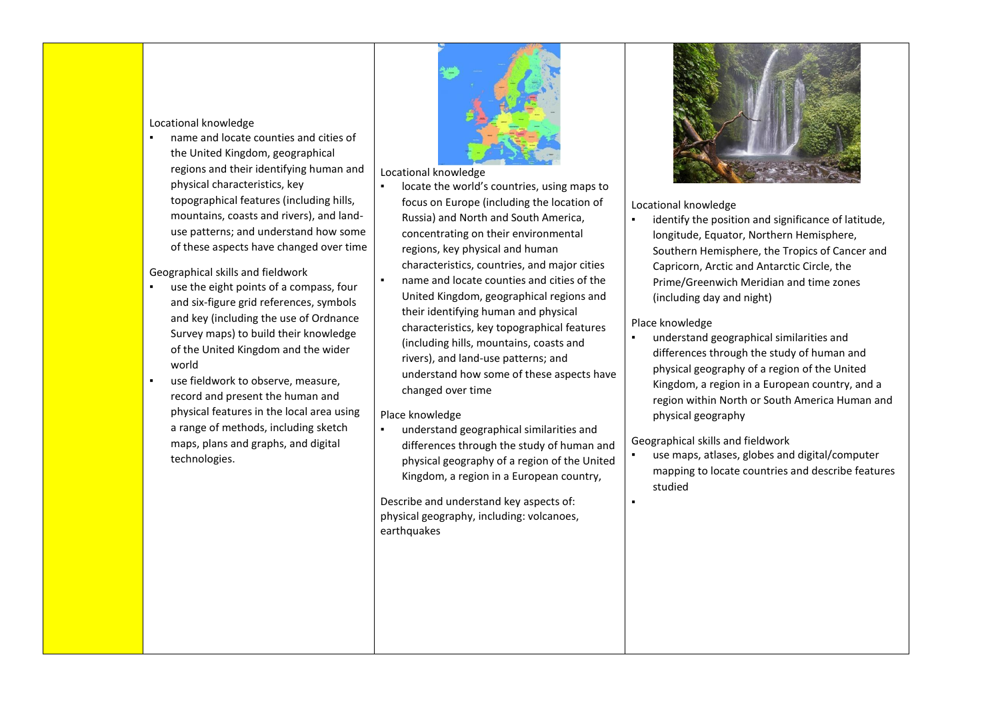#### Locational knowledge

name and locate counties and cities of the United Kingdom, geographical regions and their identifying human and physical characteristics, key topographical features (including hills, mountains, coasts and rivers), and landuse patterns; and understand how some of these aspects have changed over time

### Geographical skills and fieldwork

- use the eight points of a compass, four and six-figure grid references, symbols and key (including the use of Ordnance Survey maps) to build their knowledge of the United Kingdom and the wider world
- use fieldwork to observe, measure, record and present the human and physical features in the local area using a range of methods, including sketch maps, plans and graphs, and digital technologies.



#### Locational knowledge

- locate the world's countries, using maps to focus on Europe (including the location of Russia) and North and South America, concentrating on their environmental regions, key physical and human characteristics, countries, and major cities
- name and locate counties and cities of the United Kingdom, geographical regions and their identifying human and physical characteristics, key topographical features (including hills, mountains, coasts and rivers), and land-use patterns; and understand how some of these aspects have changed over time

# Place knowledge

▪ understand geographical similarities and differences through the study of human and physical geography of a region of the United Kingdom, a region in a European country,

Describe and understand key aspects of: physical geography, including: volcanoes, earthquakes



## Locational knowledge

identify the position and significance of latitude, longitude, Equator, Northern Hemisphere, Southern Hemisphere, the Tropics of Cancer and Capricorn, Arctic and Antarctic Circle, the Prime/Greenwich Meridian and time zones (including day and night)

## Place knowledge

understand geographical similarities and differences through the study of human and physical geography of a region of the United Kingdom, a region in a European country, and a region within North or South America Human and physical geography

# Geographical skills and fieldwork

use maps, atlases, globes and digital/computer mapping to locate countries and describe features studied

▪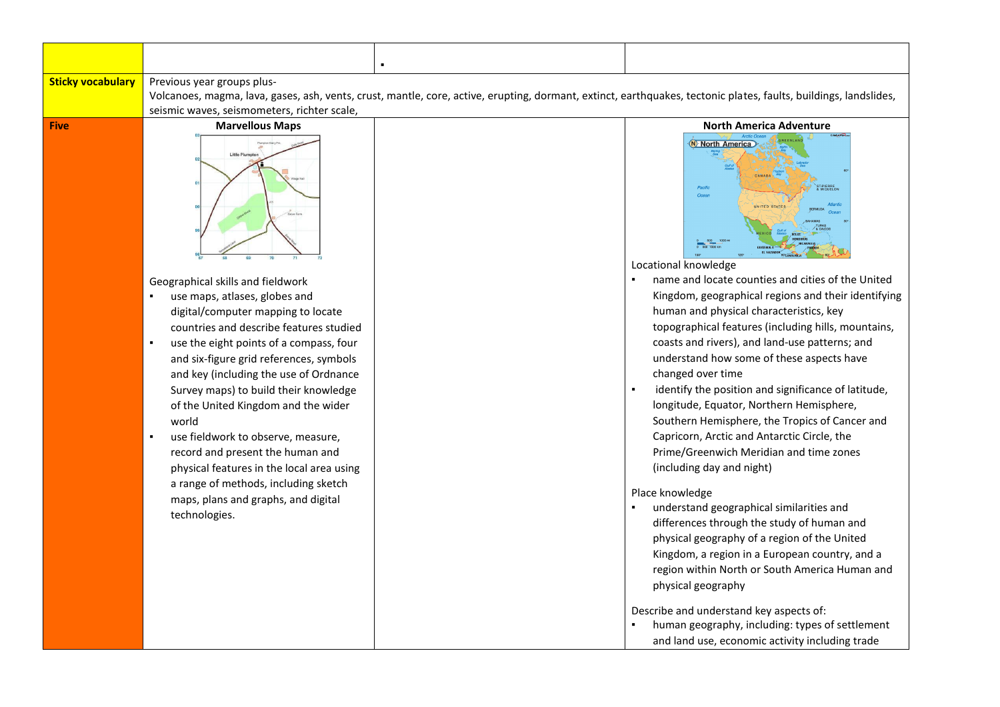| <b>Sticky vocabulary</b> | Previous year groups plus-                                                                                                                                       |  |                                                                                             |
|--------------------------|------------------------------------------------------------------------------------------------------------------------------------------------------------------|--|---------------------------------------------------------------------------------------------|
|                          | Volcanoes, magma, lava, gases, ash, vents, crust, mantle, core, active, erupting, dormant, extinct, earthquakes, tectonic plates, faults, buildings, landslides, |  |                                                                                             |
|                          | seismic waves, seismometers, richter scale,                                                                                                                      |  |                                                                                             |
| <b>Five</b>              | <b>Marvellous Maps</b>                                                                                                                                           |  | <b>North America Adventure</b>                                                              |
|                          | <b>Little Plums</b>                                                                                                                                              |  | N North America<br>Pacific<br>Ocea<br>UNITED STATES<br>Locational knowledge                 |
|                          | Geographical skills and fieldwork                                                                                                                                |  | name and locate counties and cities of the United                                           |
|                          | use maps, atlases, globes and                                                                                                                                    |  | Kingdom, geographical regions and their identifying                                         |
|                          | digital/computer mapping to locate                                                                                                                               |  | human and physical characteristics, key                                                     |
|                          | countries and describe features studied                                                                                                                          |  | topographical features (including hills, mountains,                                         |
|                          | use the eight points of a compass, four<br>$\blacksquare$                                                                                                        |  | coasts and rivers), and land-use patterns; and<br>understand how some of these aspects have |
|                          | and six-figure grid references, symbols                                                                                                                          |  | changed over time                                                                           |
|                          | and key (including the use of Ordnance<br>Survey maps) to build their knowledge                                                                                  |  | identify the position and significance of latitude,                                         |
|                          | of the United Kingdom and the wider                                                                                                                              |  | longitude, Equator, Northern Hemisphere,                                                    |
|                          | world                                                                                                                                                            |  | Southern Hemisphere, the Tropics of Cancer and                                              |
|                          | use fieldwork to observe, measure,                                                                                                                               |  | Capricorn, Arctic and Antarctic Circle, the                                                 |
|                          | record and present the human and                                                                                                                                 |  | Prime/Greenwich Meridian and time zones                                                     |
|                          | physical features in the local area using                                                                                                                        |  | (including day and night)                                                                   |
|                          | a range of methods, including sketch                                                                                                                             |  |                                                                                             |
|                          | maps, plans and graphs, and digital                                                                                                                              |  | Place knowledge                                                                             |
|                          | technologies.                                                                                                                                                    |  | understand geographical similarities and                                                    |
|                          |                                                                                                                                                                  |  | differences through the study of human and                                                  |
|                          |                                                                                                                                                                  |  | physical geography of a region of the United                                                |
|                          |                                                                                                                                                                  |  | Kingdom, a region in a European country, and a                                              |
|                          |                                                                                                                                                                  |  | region within North or South America Human and                                              |
|                          |                                                                                                                                                                  |  | physical geography                                                                          |
|                          |                                                                                                                                                                  |  | Describe and understand key aspects of:                                                     |
|                          |                                                                                                                                                                  |  | human geography, including: types of settlement                                             |
|                          |                                                                                                                                                                  |  | and land use, economic activity including trade                                             |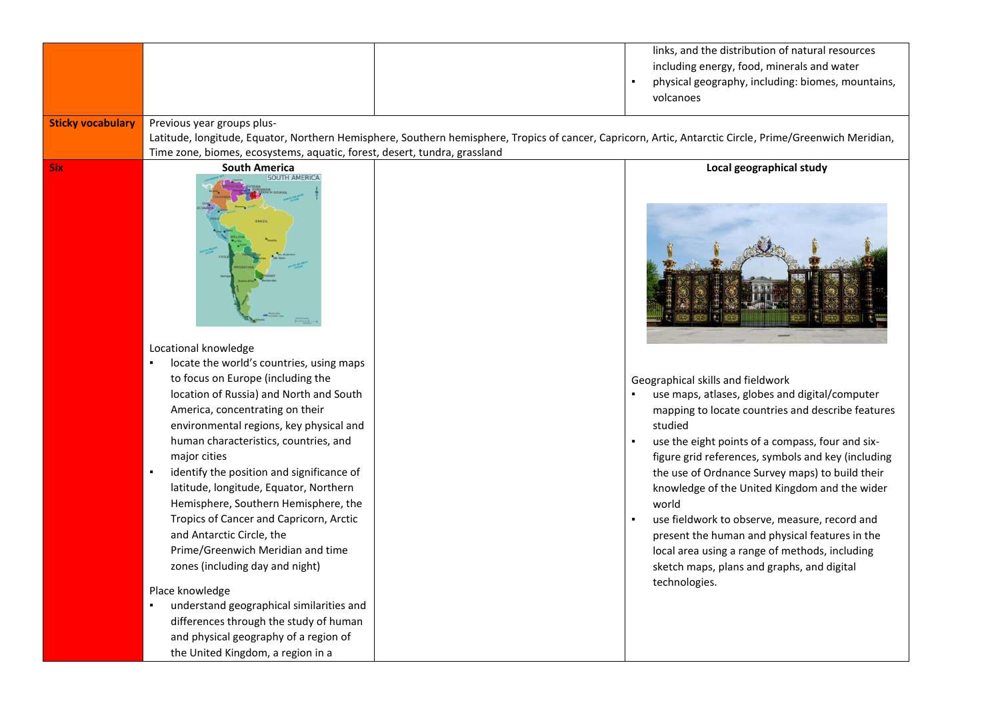| <b>Sticky vocabulary</b> | Previous year groups plus-                                                                                                                                                                                                                                                                                                                                                                                                                                                                                                                                                                                                                                                                       | links, and the distribution of natural resources<br>including energy, food, minerals and water<br>physical geography, including: biomes, mountains,<br>volcanoes                                                                                                                                                                                                                                                                                                                                                                                                                               |
|--------------------------|--------------------------------------------------------------------------------------------------------------------------------------------------------------------------------------------------------------------------------------------------------------------------------------------------------------------------------------------------------------------------------------------------------------------------------------------------------------------------------------------------------------------------------------------------------------------------------------------------------------------------------------------------------------------------------------------------|------------------------------------------------------------------------------------------------------------------------------------------------------------------------------------------------------------------------------------------------------------------------------------------------------------------------------------------------------------------------------------------------------------------------------------------------------------------------------------------------------------------------------------------------------------------------------------------------|
|                          |                                                                                                                                                                                                                                                                                                                                                                                                                                                                                                                                                                                                                                                                                                  | Latitude, longitude, Equator, Northern Hemisphere, Southern hemisphere, Tropics of cancer, Capricorn, Artic, Antarctic Circle, Prime/Greenwich Meridian,                                                                                                                                                                                                                                                                                                                                                                                                                                       |
| <b>Six</b>               | Time zone, biomes, ecosystems, aquatic, forest, desert, tundra, grassland<br><b>South America</b>                                                                                                                                                                                                                                                                                                                                                                                                                                                                                                                                                                                                | Local geographical study                                                                                                                                                                                                                                                                                                                                                                                                                                                                                                                                                                       |
|                          | <b>SOUTH AMERICA</b><br>Locational knowledge                                                                                                                                                                                                                                                                                                                                                                                                                                                                                                                                                                                                                                                     |                                                                                                                                                                                                                                                                                                                                                                                                                                                                                                                                                                                                |
|                          | locate the world's countries, using maps<br>to focus on Europe (including the<br>location of Russia) and North and South<br>America, concentrating on their<br>environmental regions, key physical and<br>human characteristics, countries, and<br>major cities<br>identify the position and significance of<br>latitude, longitude, Equator, Northern<br>Hemisphere, Southern Hemisphere, the<br>Tropics of Cancer and Capricorn, Arctic<br>and Antarctic Circle, the<br>Prime/Greenwich Meridian and time<br>zones (including day and night)<br>Place knowledge<br>understand geographical similarities and<br>differences through the study of human<br>and physical geography of a region of | Geographical skills and fieldwork<br>use maps, atlases, globes and digital/computer<br>mapping to locate countries and describe features<br>studied<br>use the eight points of a compass, four and six-<br>figure grid references, symbols and key (including<br>the use of Ordnance Survey maps) to build their<br>knowledge of the United Kingdom and the wider<br>world<br>use fieldwork to observe, measure, record and<br>present the human and physical features in the<br>local area using a range of methods, including<br>sketch maps, plans and graphs, and digital<br>technologies. |
|                          | the United Kingdom, a region in a                                                                                                                                                                                                                                                                                                                                                                                                                                                                                                                                                                                                                                                                |                                                                                                                                                                                                                                                                                                                                                                                                                                                                                                                                                                                                |
|                          |                                                                                                                                                                                                                                                                                                                                                                                                                                                                                                                                                                                                                                                                                                  |                                                                                                                                                                                                                                                                                                                                                                                                                                                                                                                                                                                                |